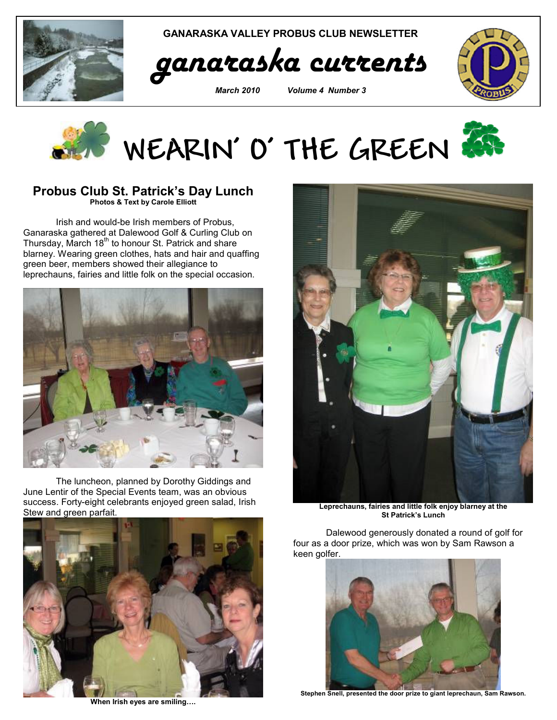

GANARASKA VALLEY PROBUS CLUB NEWSLETTER



March 2010 Volume 4 Number 3





## Probus Club St. Patrick's Day Lunch

Photos & Text by Carole Elliott

Irish and would-be Irish members of Probus, Ganaraska gathered at Dalewood Golf & Curling Club on Thursday, March 18<sup>th</sup> to honour St. Patrick and share blarney. Wearing green clothes, hats and hair and quaffing green beer, members showed their allegiance to leprechauns, fairies and little folk on the special occasion.



The luncheon, planned by Dorothy Giddings and June Lentir of the Special Events team, was an obvious success. Forty-eight celebrants enjoyed green salad, Irish Stew and green parfait.



When Irish eyes are smiling….



Leprechauns, fairies and little folk enjoy blarney at the St Patrick's Lunch

Dalewood generously donated a round of golf for four as a door prize, which was won by Sam Rawson a keen golfer.



Stephen Snell, presented the door prize to giant leprechaun, Sam Rawson.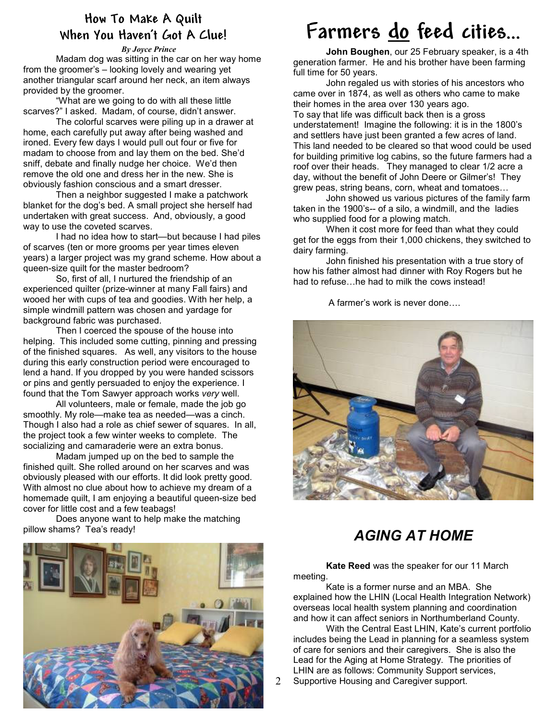### How To Make A Quilt When You Haven't Got A Clue!

#### By Joyce Prince

Madam dog was sitting in the car on her way home from the groomer's – looking lovely and wearing yet another triangular scarf around her neck, an item always provided by the groomer.

"What are we going to do with all these little scarves?" I asked. Madam, of course, didn't answer.

 The colorful scarves were piling up in a drawer at home, each carefully put away after being washed and ironed. Every few days I would pull out four or five for madam to choose from and lay them on the bed. She'd sniff, debate and finally nudge her choice. We'd then remove the old one and dress her in the new. She is obviously fashion conscious and a smart dresser.

 Then a neighbor suggested I make a patchwork blanket for the dog's bed. A small project she herself had undertaken with great success. And, obviously, a good way to use the coveted scarves.

I had no idea how to start—but because I had piles of scarves (ten or more grooms per year times eleven years) a larger project was my grand scheme. How about a queen-size quilt for the master bedroom?

 So, first of all, I nurtured the friendship of an experienced quilter (prize-winner at many Fall fairs) and wooed her with cups of tea and goodies. With her help, a simple windmill pattern was chosen and yardage for background fabric was purchased.

Then I coerced the spouse of the house into helping. This included some cutting, pinning and pressing of the finished squares. As well, any visitors to the house during this early construction period were encouraged to lend a hand. If you dropped by you were handed scissors or pins and gently persuaded to enjoy the experience. I found that the Tom Sawyer approach works very well.

All volunteers, male or female, made the job go smoothly. My role—make tea as needed—was a cinch. Though I also had a role as chief sewer of squares. In all, the project took a few winter weeks to complete. The socializing and camaraderie were an extra bonus.

Madam jumped up on the bed to sample the finished quilt. She rolled around on her scarves and was obviously pleased with our efforts. It did look pretty good. With almost no clue about how to achieve my dream of a homemade quilt, I am enjoying a beautiful queen-size bed cover for little cost and a few teabags!

Does anyone want to help make the matching pillow shams? Tea's ready!



## Farmers do feed cities…

John Boughen, our 25 February speaker, is a 4th generation farmer. He and his brother have been farming full time for 50 years.

 John regaled us with stories of his ancestors who came over in 1874, as well as others who came to make their homes in the area over 130 years ago. To say that life was difficult back then is a gross understatement! Imagine the following: it is in the 1800's and settlers have just been granted a few acres of land. This land needed to be cleared so that wood could be used for building primitive log cabins, so the future farmers had a roof over their heads. They managed to clear 1/2 acre a day, without the benefit of John Deere or Gilmer's! They grew peas, string beans, corn, wheat and tomatoes…

John showed us various pictures of the family farm taken in the 1900's-- of a silo, a windmill, and the ladies who supplied food for a plowing match.

When it cost more for feed than what they could get for the eggs from their 1,000 chickens, they switched to dairy farming.

John finished his presentation with a true story of how his father almost had dinner with Roy Rogers but he had to refuse…he had to milk the cows instead!

A farmer's work is never done….



## AGING AT HOME

 Kate Reed was the speaker for our 11 March meeting.

Kate is a former nurse and an MBA. She explained how the LHIN (Local Health Integration Network) overseas local health system planning and coordination and how it can affect seniors in Northumberland County.

With the Central East LHIN, Kate's current portfolio includes being the Lead in planning for a seamless system of care for seniors and their caregivers. She is also the Lead for the Aging at Home Strategy. The priorities of LHIN are as follows: Community Support services,

Supportive Housing and Caregiver support.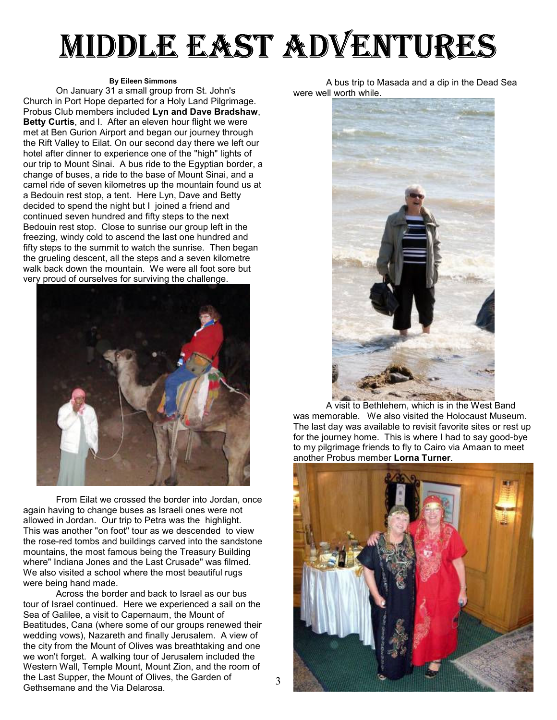# MIDDLE EAST ADVENTURES

#### By Eileen Simmons

On January 31 a small group from St. John's Church in Port Hope departed for a Holy Land Pilgrimage. Probus Club members included Lyn and Dave Bradshaw, Betty Curtis, and I. After an eleven hour flight we were met at Ben Gurion Airport and began our journey through the Rift Valley to Eilat. On our second day there we left our hotel after dinner to experience one of the "high" lights of our trip to Mount Sinai. A bus ride to the Egyptian border, a change of buses, a ride to the base of Mount Sinai, and a camel ride of seven kilometres up the mountain found us at a Bedouin rest stop, a tent. Here Lyn, Dave and Betty decided to spend the night but I joined a friend and continued seven hundred and fifty steps to the next Bedouin rest stop. Close to sunrise our group left in the freezing, windy cold to ascend the last one hundred and fifty steps to the summit to watch the sunrise. Then began the grueling descent, all the steps and a seven kilometre walk back down the mountain. We were all foot sore but very proud of ourselves for surviving the challenge.



From Eilat we crossed the border into Jordan, once again having to change buses as Israeli ones were not allowed in Jordan. Our trip to Petra was the highlight. This was another "on foot" tour as we descended to view the rose-red tombs and buildings carved into the sandstone mountains, the most famous being the Treasury Building where" Indiana Jones and the Last Crusade" was filmed. We also visited a school where the most beautiful rugs were being hand made.

 3 the Last Supper, the Mount of Olives, the Garden of Across the border and back to Israel as our bus tour of Israel continued. Here we experienced a sail on the Sea of Galilee, a visit to Capernaum, the Mount of Beatitudes, Cana (where some of our groups renewed their wedding vows), Nazareth and finally Jerusalem. A view of the city from the Mount of Olives was breathtaking and one we won't forget. A walking tour of Jerusalem included the Western Wall, Temple Mount, Mount Zion, and the room of Gethsemane and the Via Delarosa.

A bus trip to Masada and a dip in the Dead Sea were well worth while.



A visit to Bethlehem, which is in the West Band was memorable. We also visited the Holocaust Museum. The last day was available to revisit favorite sites or rest up for the journey home. This is where I had to say good-bye to my pilgrimage friends to fly to Cairo via Amaan to meet another Probus member Lorna Turner.

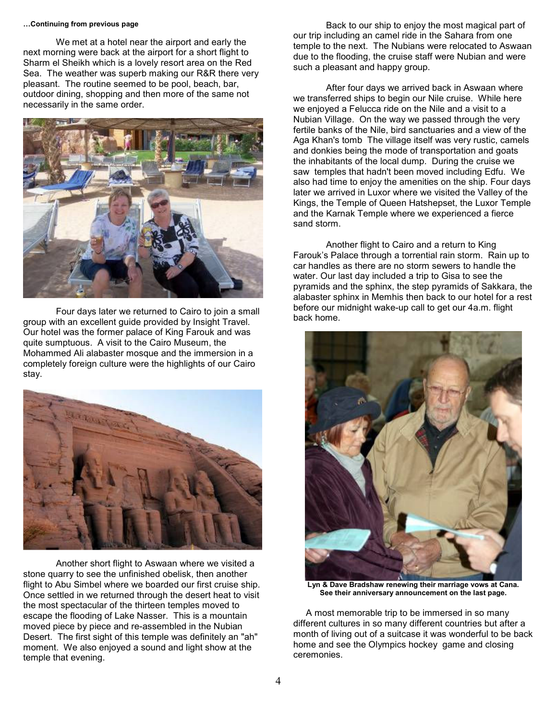#### …Continuing from previous page

We met at a hotel near the airport and early the next morning were back at the airport for a short flight to Sharm el Sheikh which is a lovely resort area on the Red Sea. The weather was superb making our R&R there very pleasant. The routine seemed to be pool, beach, bar, outdoor dining, shopping and then more of the same not necessarily in the same order.



Four days later we returned to Cairo to join a small group with an excellent guide provided by Insight Travel. Our hotel was the former palace of King Farouk and was quite sumptuous. A visit to the Cairo Museum, the Mohammed Ali alabaster mosque and the immersion in a completely foreign culture were the highlights of our Cairo stay.



Another short flight to Aswaan where we visited a stone quarry to see the unfinished obelisk, then another flight to Abu Simbel where we boarded our first cruise ship. Once settled in we returned through the desert heat to visit the most spectacular of the thirteen temples moved to escape the flooding of Lake Nasser. This is a mountain moved piece by piece and re-assembled in the Nubian Desert. The first sight of this temple was definitely an "ah" moment. We also enjoyed a sound and light show at the temple that evening.

Back to our ship to enjoy the most magical part of our trip including an camel ride in the Sahara from one temple to the next. The Nubians were relocated to Aswaan due to the flooding, the cruise staff were Nubian and were such a pleasant and happy group.

After four days we arrived back in Aswaan where we transferred ships to begin our Nile cruise. While here we enjoyed a Felucca ride on the Nile and a visit to a Nubian Village. On the way we passed through the very fertile banks of the Nile, bird sanctuaries and a view of the Aga Khan's tomb The village itself was very rustic, camels and donkies being the mode of transportation and goats the inhabitants of the local dump. During the cruise we saw temples that hadn't been moved including Edfu. We also had time to enjoy the amenities on the ship. Four days later we arrived in Luxor where we visited the Valley of the Kings, the Temple of Queen Hatshepset, the Luxor Temple and the Karnak Temple where we experienced a fierce sand storm.

Another flight to Cairo and a return to King Farouk's Palace through a torrential rain storm. Rain up to car handles as there are no storm sewers to handle the water. Our last day included a trip to Gisa to see the pyramids and the sphinx, the step pyramids of Sakkara, the alabaster sphinx in Memhis then back to our hotel for a rest before our midnight wake-up call to get our 4a.m. flight back home.



Lyn & Dave Bradshaw renewing their marriage vows at Cana. See their anniversary announcement on the last page.

 A most memorable trip to be immersed in so many different cultures in so many different countries but after a month of living out of a suitcase it was wonderful to be back home and see the Olympics hockey game and closing ceremonies.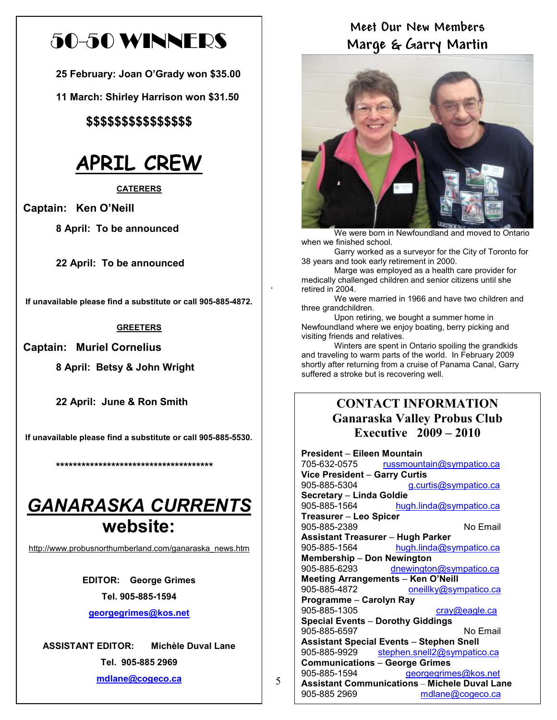## 50-50 WINNERS

25 February: Joan O'Grady won \$35.00

11 March: Shirley Harrison won \$31.50

\$\$\$\$\$\$\$\$\$\$\$\$\$\$\$

## APRIL CREW

**CATERERS** 

Captain: Ken O'Neill

8 April: To be announced

22 April: To be announced

If unavailable please find a substitute or call 905-885-4872.

#### **GREETERS**

Captain: Muriel Cornelius

8 April: Betsy & John Wright

22 April: June & Ron Smith

If unavailable please find a substitute or call 905-885-5530.

\*\*\*\*\*\*\*\*\*\*\*\*\*\*\*\*\*\*\*\*\*\*\*\*\*\*\*\*\*\*\*\*\*\*\*\*\*

## GANARASKA CURRENTS website:

http://www.probusnorthumberland.com/ganaraska\_news.htm

EDITOR: George Grimes Tel. 905-885-1594

georgegrimes@kos.net

ASSISTANT EDITOR: Michèle Duval Lane Tel. 905-885 2969

#### 5 mdlane@cogeco.ca

## Meet Our New Members Marge & Garry Martin



We were born in Newfoundland and moved to Ontario when we finished school.

 Garry worked as a surveyor for the City of Toronto for 38 years and took early retirement in 2000.

 Marge was employed as a health care provider for medically challenged children and senior citizens until she retired in 2004.

.

 We were married in 1966 and have two children and three grandchildren.

 Upon retiring, we bought a summer home in Newfoundland where we enjoy boating, berry picking and visiting friends and relatives.

 Winters are spent in Ontario spoiling the grandkids and traveling to warm parts of the world. In February 2009 shortly after returning from a cruise of Panama Canal, Garry suffered a stroke but is recovering well.

### CONTACT INFORMATION Ganaraska Valley Probus Club Executive 2009 – 2010

#### President – Eileen Mountain 705-632-0575 russmountain@sympatico.ca Vice President – Garry Curtis 905-885-5304 g.curtis@sympatico.ca Secretary – Linda Goldie<br>905-885-1564 hug hugh.linda@sympatico.ca Treasurer – Leo Spicer 905-885-2389 No Email Assistant Treasurer – Hugh Parker 905-885-1564 hugh.linda@sympatico.ca Membership – Don Newington 905-885-6293 dnewington@sympatico.ca Meeting Arrangements – Ken O'Neill 905-885-4872 oneillky@sympatico.ca Programme – Carolyn Ray<br>905-885-1305 cray@eagle.ca Special Events – Dorothy Giddings 905-885-6597 No Email Assistant Special Events – Stephen Snell 905-885-9929 stephen.snell2@sympatico.ca Communications – George Grimes 905-885-1594 georgegrimes@kos.net Assistant Communications – Michele Duval Lane 905-885 2969 mdlane@cogeco.ca